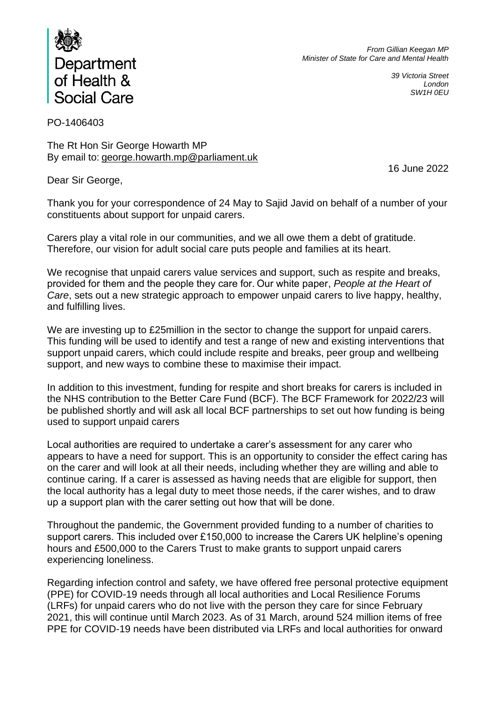

*From Gillian Keegan MP Minister of State for Care and Mental Health*

> *39 Victoria Street London SW1H 0EU*

PO-1406403

The Rt Hon Sir George Howarth MP By email to: [george.howarth.mp@parliament.uk](mailto:george.howarth.mp@parliament.uk)

16 June 2022

Dear Sir George,

Thank you for your correspondence of 24 May to Sajid Javid on behalf of a number of your constituents about support for unpaid carers.

Carers play a vital role in our communities, and we all owe them a debt of gratitude. Therefore, our vision for adult social care puts people and families at its heart.

We recognise that unpaid carers value services and support, such as respite and breaks, provided for them and the people they care for. Our white paper, *[People at the Heart of](https://assets.publishing.service.gov.uk/government/uploads/system/uploads/attachment_data/file/1061870/people-at-the-heart-of-care-asc-reform-accessible-with-correction-slip.pdf)  [Care](https://assets.publishing.service.gov.uk/government/uploads/system/uploads/attachment_data/file/1061870/people-at-the-heart-of-care-asc-reform-accessible-with-correction-slip.pdf)*, sets out a new strategic approach to empower unpaid carers to live happy, healthy, and fulfilling lives.

We are investing up to £25 million in the sector to change the support for unpaid carers. This funding will be used to identify and test a range of new and existing interventions that support unpaid carers, which could include respite and breaks, peer group and wellbeing support, and new ways to combine these to maximise their impact.

In addition to this investment, funding for respite and short breaks for carers is included in the NHS contribution to the Better Care Fund (BCF). The BCF Framework for 2022/23 will be published shortly and will ask all local BCF partnerships to set out how funding is being used to support unpaid carers

Local authorities are required to undertake a carer's assessment for any carer who appears to have a need for support. This is an opportunity to consider the effect caring has on the carer and will look at all their needs, including whether they are willing and able to continue caring. If a carer is assessed as having needs that are eligible for support, then the local authority has a legal duty to meet those needs, if the carer wishes, and to draw up a support plan with the carer setting out how that will be done.  

Throughout the pandemic, the Government provided funding to a number of charities to support carers. This included over £150,000 to increase the Carers UK helpline's opening hours and £500,000 to the Carers Trust to make grants to support unpaid carers experiencing loneliness.

Regarding infection control and safety, we have offered free personal protective equipment (PPE) for COVID-19 needs through all local authorities and Local Resilience Forums (LRFs) for unpaid carers who do not live with the person they care for since February 2021, this will continue until March 2023. As of 31 March, around 524 million items of free PPE for COVID-19 needs have been distributed via LRFs and local authorities for onward